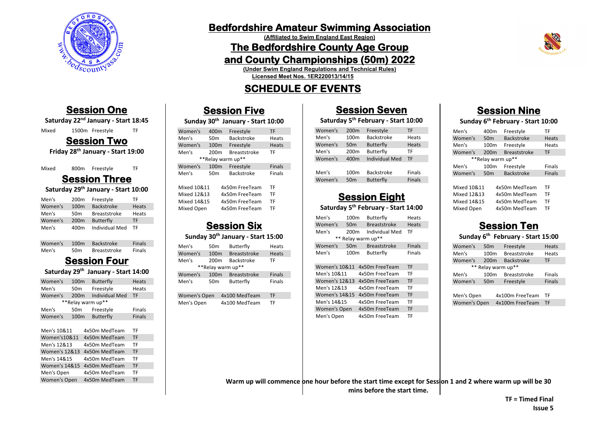

## **Bedfordshire Amateur Swimming Association**

**(Affiliated to Swim England East Region)**

## **The Bedfordshire County Age Group**

### **and County Championships (50m) 2022**

**(Under Swim England Regulations and Technical Rules)**

**Licensed Meet Nos. 1ER220013/14/15**

# **SCHEDULE OF EVENTS**

# **Session Five**

#### **Sunday 30th January - Start 10:00**

| Women's     | 400m              | Freestyle           | <b>TF</b>     |
|-------------|-------------------|---------------------|---------------|
| Men's       | 50 <sub>m</sub>   | <b>Backstroke</b>   | Heats         |
| Women's     | 100 <sub>m</sub>  | Freestyle           | Heats         |
| Men's       | 200 <sub>m</sub>  | <b>Breaststroke</b> | TF            |
|             | **Relay warm up** |                     |               |
| Women's     | 100 <sub>m</sub>  | Freestyle           | <b>Finals</b> |
| Men's       | 50 <sub>m</sub>   | <b>Backstroke</b>   | Finals        |
|             |                   |                     |               |
| Mixed 10&11 |                   | 4x50m FreeTeam      | TF            |
| Mixed 12&13 |                   | 4x50m FreeTeam      | TF            |
| Mixed 14&15 |                   | 4x50m FreeTeam      | TF            |
| Mixed Open  |                   | 4x50m FreeTeam      | TF            |
|             |                   |                     |               |

## **Session Six**

#### **Sunday 30th January - Start 15:00**

| Men's        | 50m               | <b>Butterfly</b>    | Heats         |
|--------------|-------------------|---------------------|---------------|
| Women's      | 100m              | <b>Breaststroke</b> | Heats         |
| Men's        | 200 <sub>m</sub>  | <b>Backstroke</b>   | ТF            |
|              | **Relay warm up** |                     |               |
| Women's      | 100 <sub>m</sub>  | <b>Breaststroke</b> | <b>Finals</b> |
| Men's        | 50 <sub>m</sub>   | <b>Butterfly</b>    | Finals        |
| Women's Open |                   | 4x100 MedTeam       | TF            |
| Men's Open   |                   | 4x100 MedTeam       | TF            |

### **Session Seven**

### **Saturday 5th February - Start 10:00**

| Women's | 200 <sub>m</sub> | Freestyle             | TF            |
|---------|------------------|-----------------------|---------------|
| Men's   | 100 <sub>m</sub> | <b>Backstroke</b>     | Heats         |
| Women's | 50 <sub>m</sub>  | <b>Butterfly</b>      | <b>Heats</b>  |
| Men's   | 200 <sub>m</sub> | Butterfly             | TF            |
| Women's | 400m             | <b>Individual Med</b> | TF            |
|         |                  |                       |               |
| Men's   | 100 <sub>m</sub> | <b>Backstroke</b>     | Finals        |
| Women's | 50 <sub>m</sub>  | <b>Butterfly</b>      | <b>Finals</b> |

# **Session Eight**

### **Saturday 5th February - Start 14:00**

| Men's   | 100 <sub>m</sub>   | Butterfly           | Heats         |
|---------|--------------------|---------------------|---------------|
| Women's | 50 <sub>m</sub>    | <b>Breaststroke</b> | Heats         |
| Men's   | 200 <sub>m</sub>   | Individual Med      | ТF            |
|         | ** Relay warm up** |                     |               |
| Women's | 50 <sub>m</sub>    | <b>Breaststroke</b> | <b>Finals</b> |
| Men's   | 100 <sub>m</sub>   | Butterfly           | Finals        |

| <b>Women's 10&amp;11</b> | 4x50m FreeTeam | TF        |
|--------------------------|----------------|-----------|
| Men's 10&11              | 4x50m FreeTeam | TF        |
| <b>Women's 12&amp;13</b> | 4x50m FreeTeam | <b>TF</b> |
| Men's 12&13              | 4x50m FreeTeam | TF        |
| <b>Women's 14&amp;15</b> | 4x50m FreeTeam | <b>TF</b> |
| Men's 14&15              | 4x50m FreeTeam | TF        |
| Women's Open             | 4x50m FreeTeam | <b>TF</b> |
| Men's Open               | 4x50m FreeTeam | TF        |

# **Session Nine**

### **Sunday 6th February - Start 10:00**

| Men's       | 400m              | Freestyle           | TF            |
|-------------|-------------------|---------------------|---------------|
| Women's     | 50 <sub>m</sub>   | <b>Backstroke</b>   | Heats         |
| Men's       | 100 <sub>m</sub>  | Freestyle           | Heats         |
| Women's     | 200 <sub>m</sub>  | <b>Breaststroke</b> | <b>TF</b>     |
|             | **Relay warm up** |                     |               |
| Men's       | 100 <sub>m</sub>  | Freestyle           | Finals        |
| Women's     | 50 <sub>m</sub>   | <b>Backstroke</b>   | <b>Finals</b> |
|             |                   |                     |               |
| Mixed 10&11 |                   | 4x50m MedTeam       | TF            |
| Mixed 12&13 |                   | 4x50m MedTeam       | TF            |
| Mixed 14&15 |                   | 4x50m MedTeam       | TF            |
| Mixed Open  |                   | 4x50m MedTeam       | TF            |

## **Session Ten**

#### **Sunday 6th February - Start 15:00**

| Women's            | 50 <sub>m</sub>  | Freestyle           | Heats         |
|--------------------|------------------|---------------------|---------------|
| Men's              | 100 <sub>m</sub> | <b>Breaststroke</b> | Heats         |
| Women's            | 200 <sub>m</sub> | <b>Backstroke</b>   | TF            |
| ** Relay warm up** |                  |                     |               |
|                    |                  |                     |               |
| Men's              | 100 <sub>m</sub> | <b>Breaststroke</b> | <b>Finals</b> |
| Women's            | 50 <sub>m</sub>  | Freestyle           | <b>Finals</b> |
|                    |                  |                     |               |

Women's Open 4x100m FreeTeam TF

Mixed 1500m Freestyle TF **Session Two** 

**Session One Saturday 22nd January - Start 18:45**

**Friday 28th January - Start 19:00**

| Mixed | 800m | Freestyle | TF |
|-------|------|-----------|----|
|       |      |           |    |

# **Session Three**

**Saturday 29th January - Start 10:00**

| Men's   | 200 <sub>m</sub> | Freestyle           | ΤF    |
|---------|------------------|---------------------|-------|
| Women's | 100 <sub>m</sub> | <b>Backstroke</b>   | Heats |
| Men's   | 50 <sub>m</sub>  | <b>Breaststroke</b> | Heats |
| Women's | 200 <sub>m</sub> | <b>Butterfly</b>    | TF    |
| Men's   | 400m             | Individual Med      | ΤF    |

| Women's | 100m            | Backstroke          | Finals |
|---------|-----------------|---------------------|--------|
| Men's   | 50 <sub>m</sub> | <b>Breaststroke</b> | Finals |

# **Session Four**

### **Saturday 29th January - Start 14:00**

| Women's                  | 100 <sub>m</sub>  |               | <b>Butterfly</b> |                       | Heats |               |
|--------------------------|-------------------|---------------|------------------|-----------------------|-------|---------------|
| Men's                    | 50 <sub>m</sub>   |               |                  | Freestyle             |       | Heats         |
| Women's                  | 200m              |               |                  | <b>Individual Med</b> |       | TF            |
|                          | **Relay warm up** |               |                  |                       |       |               |
| Men's                    | 50 <sub>m</sub>   |               |                  | Freestyle             |       | Finals        |
| Women's                  | 100 <sub>m</sub>  |               |                  | <b>Butterfly</b>      |       | <b>Finals</b> |
|                          |                   |               |                  |                       |       |               |
| Men's 10&11              |                   | 4x50m MedTeam |                  | TF                    |       |               |
| Women's 10&11            |                   |               |                  | 4x50m MedTeam         |       | <b>TF</b>     |
| Men's 12&13              |                   |               |                  | 4x50m MedTeam         |       | TF            |
| <b>Women's 12&amp;13</b> |                   |               |                  | 4x50m MedTeam         |       | <b>TF</b>     |
| Men's 14&15              |                   |               |                  | 4x50m MedTeam         |       | TF            |
| <b>Women's 14&amp;15</b> |                   |               |                  | 4x50m MedTeam         |       | <b>TF</b>     |
| Men's Open               |                   |               |                  | 4x50m MedTeam         |       | TF            |
| Women's Open             |                   |               |                  | 4x50m MedTeam         |       | TF            |
|                          |                   |               |                  |                       |       |               |

Warm up will commence one hour before the start time except for Session 1 and 2 where warm up will be 30 **mins before the start time.**